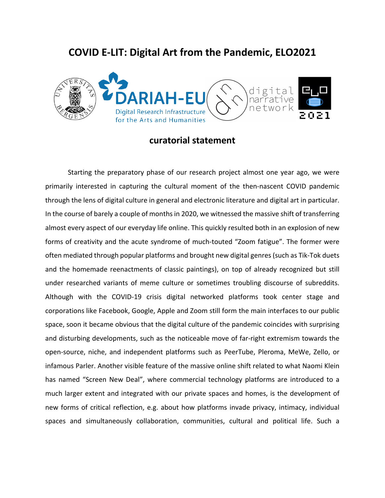# **COVID E-LIT: Digital Art from the Pandemic, ELO2021**



## **curatorial statement**

Starting the preparatory phase of our research project almost one year ago, we were primarily interested in capturing the cultural moment of the then-nascent COVID pandemic through the lens of digital culture in general and electronic literature and digital art in particular. In the course of barely a couple of months in 2020, we witnessed the massive shift of transferring almost every aspect of our everyday life online. This quickly resulted both in an explosion of new forms of creativity and the acute syndrome of much-touted "Zoom fatigue". The former were often mediated through popular platforms and brought new digital genres (such as Tik-Tok duets and the homemade reenactments of classic paintings), on top of already recognized but still under researched variants of meme culture or sometimes troubling discourse of subreddits. Although with the COVID-19 crisis digital networked platforms took center stage and corporations like Facebook, Google, Apple and Zoom still form the main interfaces to our public space, soon it became obvious that the digital culture of the pandemic coincides with surprising and disturbing developments, such as the noticeable move of far-right extremism towards the open-source, niche, and independent platforms such as PeerTube, Pleroma, MeWe, Zello, or infamous Parler. Another visible feature of the massive online shift related to what Naomi Klein has named "Screen New Deal", where commercial technology platforms are introduced to a much larger extent and integrated with our private spaces and homes, is the development of new forms of critical reflection, e.g. about how platforms invade privacy, intimacy, individual spaces and simultaneously collaboration, communities, cultural and political life. Such a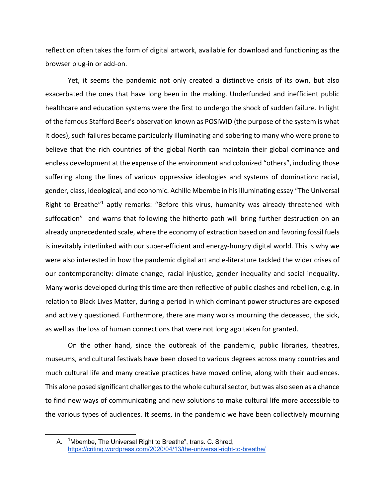reflection often takes the form of digital artwork, available for download and functioning as the browser plug-in or add-on.

Yet, it seems the pandemic not only created a distinctive crisis of its own, but also exacerbated the ones that have long been in the making. Underfunded and inefficient public healthcare and education systems were the first to undergo the shock of sudden failure. In light of the famous Stafford Beer's observation known as POSIWID (the purpose of the system is what it does), such failures became particularly illuminating and sobering to many who were prone to believe that the rich countries of the global North can maintain their global dominance and endless development at the expense of the environment and colonized "others", including those suffering along the lines of various oppressive ideologies and systems of domination: racial, gender, class, ideological, and economic. Achille Mbembe in his illuminating essay "The Universal Right to Breathe<sup>"1</sup> aptly remarks: "Before this virus, humanity was already threatened with suffocation" and warns that following the hitherto path will bring further destruction on an already unprecedented scale, where the economy of extraction based on and favoring fossil fuels is inevitably interlinked with our super-efficient and energy-hungry digital world. This is why we were also interested in how the pandemic digital art and e-literature tackled the wider crises of our contemporaneity: climate change, racial injustice, gender inequality and social inequality. Many works developed during this time are then reflective of public clashes and rebellion, e.g. in relation to Black Lives Matter, during a period in which dominant power structures are exposed and actively questioned. Furthermore, there are many works mourning the deceased, the sick, as well as the loss of human connections that were not long ago taken for granted.

On the other hand, since the outbreak of the pandemic, public libraries, theatres, museums, and cultural festivals have been closed to various degrees across many countries and much cultural life and many creative practices have moved online, along with their audiences. This alone posed significant challenges to the whole cultural sector, but was also seen as a chance to find new ways of communicating and new solutions to make cultural life more accessible to the various types of audiences. It seems, in the pandemic we have been collectively mourning

A. <sup>1</sup>Mbembe, The Universal Right to Breathe", trans. C. Shred, https://critinq.wordpress.com/2020/04/13/the-universal-right-to-breathe/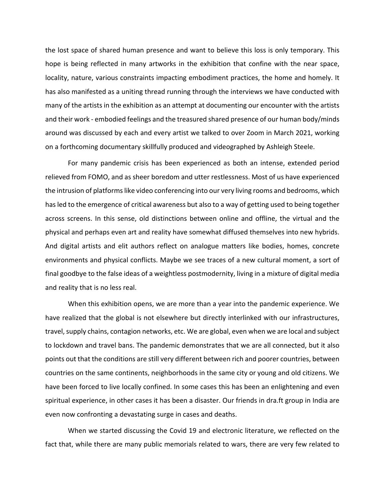the lost space of shared human presence and want to believe this loss is only temporary. This hope is being reflected in many artworks in the exhibition that confine with the near space, locality, nature, various constraints impacting embodiment practices, the home and homely. It has also manifested as a uniting thread running through the interviews we have conducted with many of the artists in the exhibition as an attempt at documenting our encounter with the artists and their work - embodied feelings and the treasured shared presence of our human body/minds around was discussed by each and every artist we talked to over Zoom in March 2021, working on a forthcoming documentary skillfully produced and videographed by Ashleigh Steele.

For many pandemic crisis has been experienced as both an intense, extended period relieved from FOMO, and as sheer boredom and utter restlessness. Most of us have experienced the intrusion of platforms like video conferencing into our very living rooms and bedrooms, which has led to the emergence of critical awareness but also to a way of getting used to being together across screens. In this sense, old distinctions between online and offline, the virtual and the physical and perhaps even art and reality have somewhat diffused themselves into new hybrids. And digital artists and elit authors reflect on analogue matters like bodies, homes, concrete environments and physical conflicts. Maybe we see traces of a new cultural moment, a sort of final goodbye to the false ideas of a weightless postmodernity, living in a mixture of digital media and reality that is no less real.

When this exhibition opens, we are more than a year into the pandemic experience. We have realized that the global is not elsewhere but directly interlinked with our infrastructures, travel, supply chains, contagion networks, etc. We are global, even when we are local and subject to lockdown and travel bans. The pandemic demonstrates that we are all connected, but it also points out that the conditions are still very different between rich and poorer countries, between countries on the same continents, neighborhoods in the same city or young and old citizens. We have been forced to live locally confined. In some cases this has been an enlightening and even spiritual experience, in other cases it has been a disaster. Our friends in dra.ft group in India are even now confronting a devastating surge in cases and deaths.

When we started discussing the Covid 19 and electronic literature, we reflected on the fact that, while there are many public memorials related to wars, there are very few related to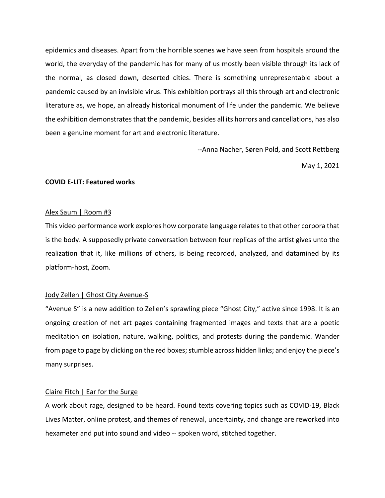epidemics and diseases. Apart from the horrible scenes we have seen from hospitals around the world, the everyday of the pandemic has for many of us mostly been visible through its lack of the normal, as closed down, deserted cities. There is something unrepresentable about a pandemic caused by an invisible virus. This exhibition portrays all this through art and electronic literature as, we hope, an already historical monument of life under the pandemic. We believe the exhibition demonstrates that the pandemic, besides all its horrors and cancellations, has also been a genuine moment for art and electronic literature.

--Anna Nacher, Søren Pold, and Scott Rettberg

May 1, 2021

#### **COVID E-LIT: Featured works**

#### Alex Saum | Room #3

This video performance work explores how corporate language relates to that other corpora that is the body. A supposedly private conversation between four replicas of the artist gives unto the realization that it, like millions of others, is being recorded, analyzed, and datamined by its platform-host, Zoom.

#### Jody Zellen | Ghost City Avenue-S

"Avenue S" is a new addition to Zellen's sprawling piece "Ghost City," active since 1998. It is an ongoing creation of net art pages containing fragmented images and texts that are a poetic meditation on isolation, nature, walking, politics, and protests during the pandemic. Wander from page to page by clicking on the red boxes; stumble across hidden links; and enjoy the piece's many surprises.

#### Claire Fitch | Ear for the Surge

A work about rage, designed to be heard. Found texts covering topics such as COVID-19, Black Lives Matter, online protest, and themes of renewal, uncertainty, and change are reworked into hexameter and put into sound and video -- spoken word, stitched together.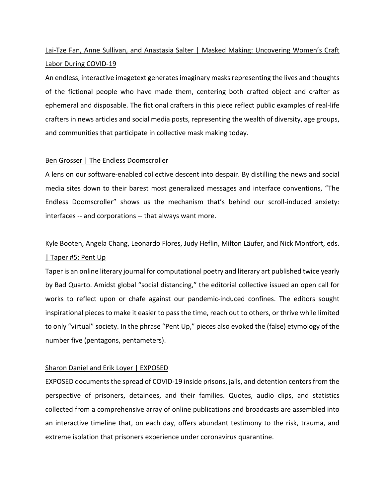## Lai-Tze Fan, Anne Sullivan, and Anastasia Salter | Masked Making: Uncovering Women's Craft Labor During COVID-19

An endless, interactive imagetext generates imaginary masks representing the lives and thoughts of the fictional people who have made them, centering both crafted object and crafter as ephemeral and disposable. The fictional crafters in this piece reflect public examples of real-life crafters in news articles and social media posts, representing the wealth of diversity, age groups, and communities that participate in collective mask making today.

#### Ben Grosser | The Endless Doomscroller

A lens on our software-enabled collective descent into despair. By distilling the news and social media sites down to their barest most generalized messages and interface conventions, "The Endless Doomscroller" shows us the mechanism that's behind our scroll-induced anxiety: interfaces -- and corporations -- that always want more.

## Kyle Booten, Angela Chang, Leonardo Flores, Judy Heflin, Milton Läufer, and Nick Montfort, eds. | Taper #5: Pent Up

Taper is an online literary journal for computational poetry and literary art published twice yearly by Bad Quarto. Amidst global "social distancing," the editorial collective issued an open call for works to reflect upon or chafe against our pandemic-induced confines. The editors sought inspirational pieces to make it easier to pass the time, reach out to others, or thrive while limited to only "virtual" society. In the phrase "Pent Up," pieces also evoked the (false) etymology of the number five (pentagons, pentameters).

## Sharon Daniel and Erik Loyer | EXPOSED

EXPOSED documents the spread of COVID-19 inside prisons, jails, and detention centers from the perspective of prisoners, detainees, and their families. Quotes, audio clips, and statistics collected from a comprehensive array of online publications and broadcasts are assembled into an interactive timeline that, on each day, offers abundant testimony to the risk, trauma, and extreme isolation that prisoners experience under coronavirus quarantine.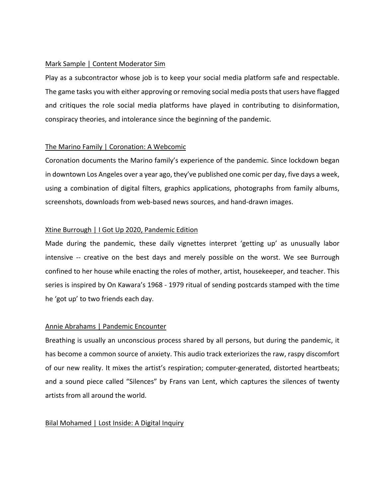#### Mark Sample | Content Moderator Sim

Play as a subcontractor whose job is to keep your social media platform safe and respectable. The game tasks you with either approving or removing social media posts that users have flagged and critiques the role social media platforms have played in contributing to disinformation, conspiracy theories, and intolerance since the beginning of the pandemic.

#### The Marino Family | Coronation: A Webcomic

Coronation documents the Marino family's experience of the pandemic. Since lockdown began in downtown Los Angeles over a year ago, they've published one comic per day, five days a week, using a combination of digital filters, graphics applications, photographs from family albums, screenshots, downloads from web-based news sources, and hand-drawn images.

#### Xtine Burrough | I Got Up 2020, Pandemic Edition

Made during the pandemic, these daily vignettes interpret 'getting up' as unusually labor intensive -- creative on the best days and merely possible on the worst. We see Burrough confined to her house while enacting the roles of mother, artist, housekeeper, and teacher. This series is inspired by On Kawara's 1968 - 1979 ritual of sending postcards stamped with the time he 'got up' to two friends each day.

## Annie Abrahams | Pandemic Encounter

Breathing is usually an unconscious process shared by all persons, but during the pandemic, it has become a common source of anxiety. This audio track exteriorizes the raw, raspy discomfort of our new reality. It mixes the artist's respiration; computer-generated, distorted heartbeats; and a sound piece called "Silences" by Frans van Lent, which captures the silences of twenty artists from all around the world.

## Bilal Mohamed | Lost Inside: A Digital Inquiry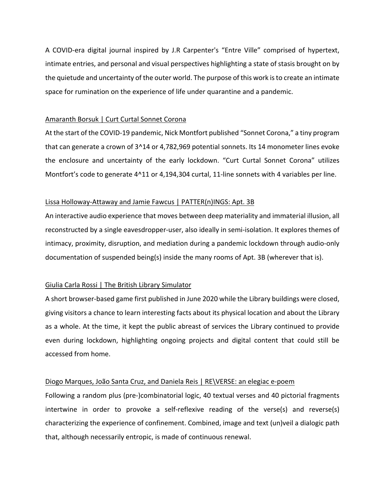A COVID-era digital journal inspired by J.R Carpenter's "Entre Ville" comprised of hypertext, intimate entries, and personal and visual perspectives highlighting a state of stasis brought on by the quietude and uncertainty of the outer world. The purpose of this work is to create an intimate space for rumination on the experience of life under quarantine and a pandemic.

## Amaranth Borsuk | Curt Curtal Sonnet Corona

At the start of the COVID-19 pandemic, Nick Montfort published "Sonnet Corona," a tiny program that can generate a crown of 3^14 or 4,782,969 potential sonnets. Its 14 monometer lines evoke the enclosure and uncertainty of the early lockdown. "Curt Curtal Sonnet Corona" utilizes Montfort's code to generate 4^11 or 4,194,304 curtal, 11-line sonnets with 4 variables per line.

## Lissa Holloway-Attaway and Jamie Fawcus | PATTER(n)INGS: Apt. 3B

An interactive audio experience that moves between deep materiality and immaterial illusion, all reconstructed by a single eavesdropper-user, also ideally in semi-isolation. It explores themes of intimacy, proximity, disruption, and mediation during a pandemic lockdown through audio-only documentation of suspended being(s) inside the many rooms of Apt. 3B (wherever that is).

## Giulia Carla Rossi | The British Library Simulator

A short browser-based game first published in June 2020 while the Library buildings were closed, giving visitors a chance to learn interesting facts about its physical location and about the Library as a whole. At the time, it kept the public abreast of services the Library continued to provide even during lockdown, highlighting ongoing projects and digital content that could still be accessed from home.

## Diogo Marques, João Santa Cruz, and Daniela Reis | RE\VERSE: an elegiac e-poem

Following a random plus (pre-)combinatorial logic, 40 textual verses and 40 pictorial fragments intertwine in order to provoke a self-reflexive reading of the verse(s) and reverse(s) characterizing the experience of confinement. Combined, image and text (un)veil a dialogic path that, although necessarily entropic, is made of continuous renewal.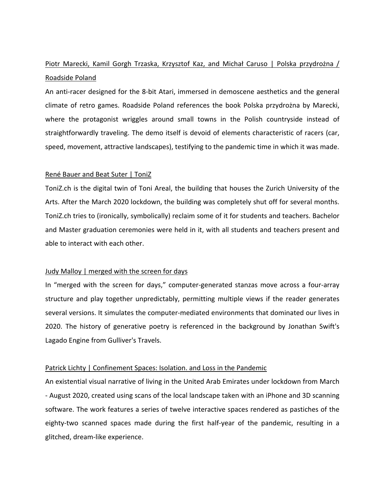## Piotr Marecki, Kamil Gorgh Trzaska, Krzysztof Kaz, and Michał Caruso | Polska przydrożna / Roadside Poland

An anti-racer designed for the 8-bit Atari, immersed in demoscene aesthetics and the general climate of retro games. Roadside Poland references the book Polska przydrożna by Marecki, where the protagonist wriggles around small towns in the Polish countryside instead of straightforwardly traveling. The demo itself is devoid of elements characteristic of racers (car, speed, movement, attractive landscapes), testifying to the pandemic time in which it was made.

#### René Bauer and Beat Suter | ToniZ

ToniZ.ch is the digital twin of Toni Areal, the building that houses the Zurich University of the Arts. After the March 2020 lockdown, the building was completely shut off for several months. ToniZ.ch tries to (ironically, symbolically) reclaim some of it for students and teachers. Bachelor and Master graduation ceremonies were held in it, with all students and teachers present and able to interact with each other.

#### Judy Malloy | merged with the screen for days

In "merged with the screen for days," computer-generated stanzas move across a four-array structure and play together unpredictably, permitting multiple views if the reader generates several versions. It simulates the computer-mediated environments that dominated our lives in 2020. The history of generative poetry is referenced in the background by Jonathan Swift's Lagado Engine from Gulliver's Travels.

## Patrick Lichty | Confinement Spaces: Isolation. and Loss in the Pandemic

An existential visual narrative of living in the United Arab Emirates under lockdown from March - August 2020, created using scans of the local landscape taken with an iPhone and 3D scanning software. The work features a series of twelve interactive spaces rendered as pastiches of the eighty-two scanned spaces made during the first half-year of the pandemic, resulting in a glitched, dream-like experience.